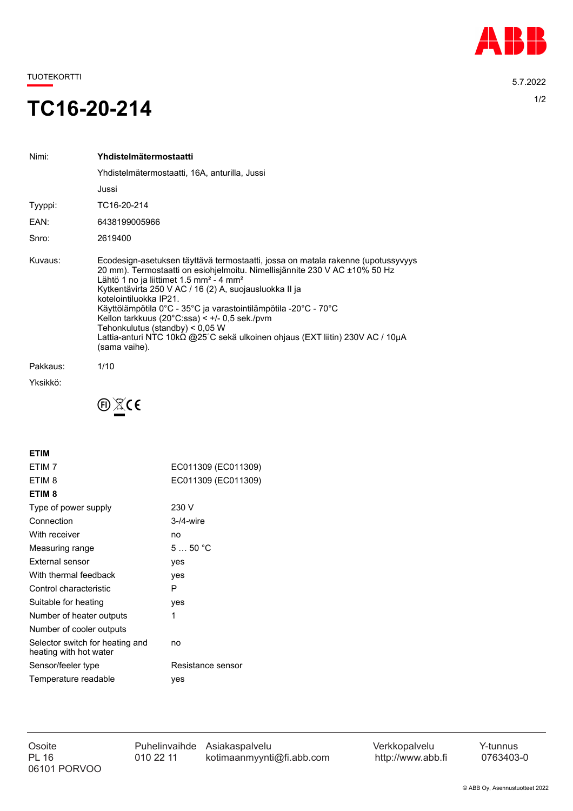

TUOTEKORTTI 5.7.2022

## TC16-20-214

| Nimi:    | Yhdistelmätermostaatti                                                                                                                                                                                                                                                                                                                                                                                                                                                                                                                                                                       |
|----------|----------------------------------------------------------------------------------------------------------------------------------------------------------------------------------------------------------------------------------------------------------------------------------------------------------------------------------------------------------------------------------------------------------------------------------------------------------------------------------------------------------------------------------------------------------------------------------------------|
|          | Yhdistelmätermostaatti, 16A, anturilla, Jussi                                                                                                                                                                                                                                                                                                                                                                                                                                                                                                                                                |
|          | Jussi                                                                                                                                                                                                                                                                                                                                                                                                                                                                                                                                                                                        |
| Tyyppi:  | TC16-20-214                                                                                                                                                                                                                                                                                                                                                                                                                                                                                                                                                                                  |
| EAN:     | 6438199005966                                                                                                                                                                                                                                                                                                                                                                                                                                                                                                                                                                                |
| Snro:    | 2619400                                                                                                                                                                                                                                                                                                                                                                                                                                                                                                                                                                                      |
| Kuvaus:  | Ecodesign-asetuksen täyttävä termostaatti, jossa on matala rakenne (upotussyvyys<br>20 mm). Termostaatti on esiohjelmoitu. Nimellisjännite 230 V AC ±10% 50 Hz<br>Lähtö 1 no ja liittimet 1.5 mm <sup>2</sup> - 4 mm <sup>2</sup><br>Kytkentävirta 250 V AC / 16 (2) A, suojausluokka II ja<br>kotelointiluokka IP21.<br>Käyttölämpötila 0°C - 35°C ja varastointilämpötila -20°C - 70°C<br>Kellon tarkkuus (20 $^{\circ}$ C:ssa) < $+$ /- 0.5 sek./pvm<br>Tehonkulutus (standby) < 0.05 W<br>Lattia-anturi NTC 10kΩ @25°C sekä ulkoinen ohjaus (EXT liitin) 230V AC / 10μA<br>(sama vaihe). |
| Pakkaus: | 1/10                                                                                                                                                                                                                                                                                                                                                                                                                                                                                                                                                                                         |
| Yksikkö: |                                                                                                                                                                                                                                                                                                                                                                                                                                                                                                                                                                                              |



| ETIM                                                      |                     |  |
|-----------------------------------------------------------|---------------------|--|
| ETIM <sub>7</sub>                                         | EC011309 (EC011309) |  |
| ETIM <sub>8</sub>                                         | EC011309 (EC011309) |  |
| ETIM <sub>8</sub>                                         |                     |  |
| Type of power supply                                      | 230 V               |  |
| Connection                                                | $3-4$ -wire         |  |
| With receiver                                             | no                  |  |
| Measuring range                                           | 550 °C              |  |
| External sensor                                           | yes                 |  |
| With thermal feedback                                     | yes                 |  |
| Control characteristic                                    | P                   |  |
| Suitable for heating                                      | yes                 |  |
| Number of heater outputs                                  | 1                   |  |
| Number of cooler outputs                                  |                     |  |
| Selector switch for heating and<br>heating with hot water | no                  |  |
| Sensor/feeler type                                        | Resistance sensor   |  |
| Temperature readable                                      | ves                 |  |
|                                                           |                     |  |

06101 PORVOO